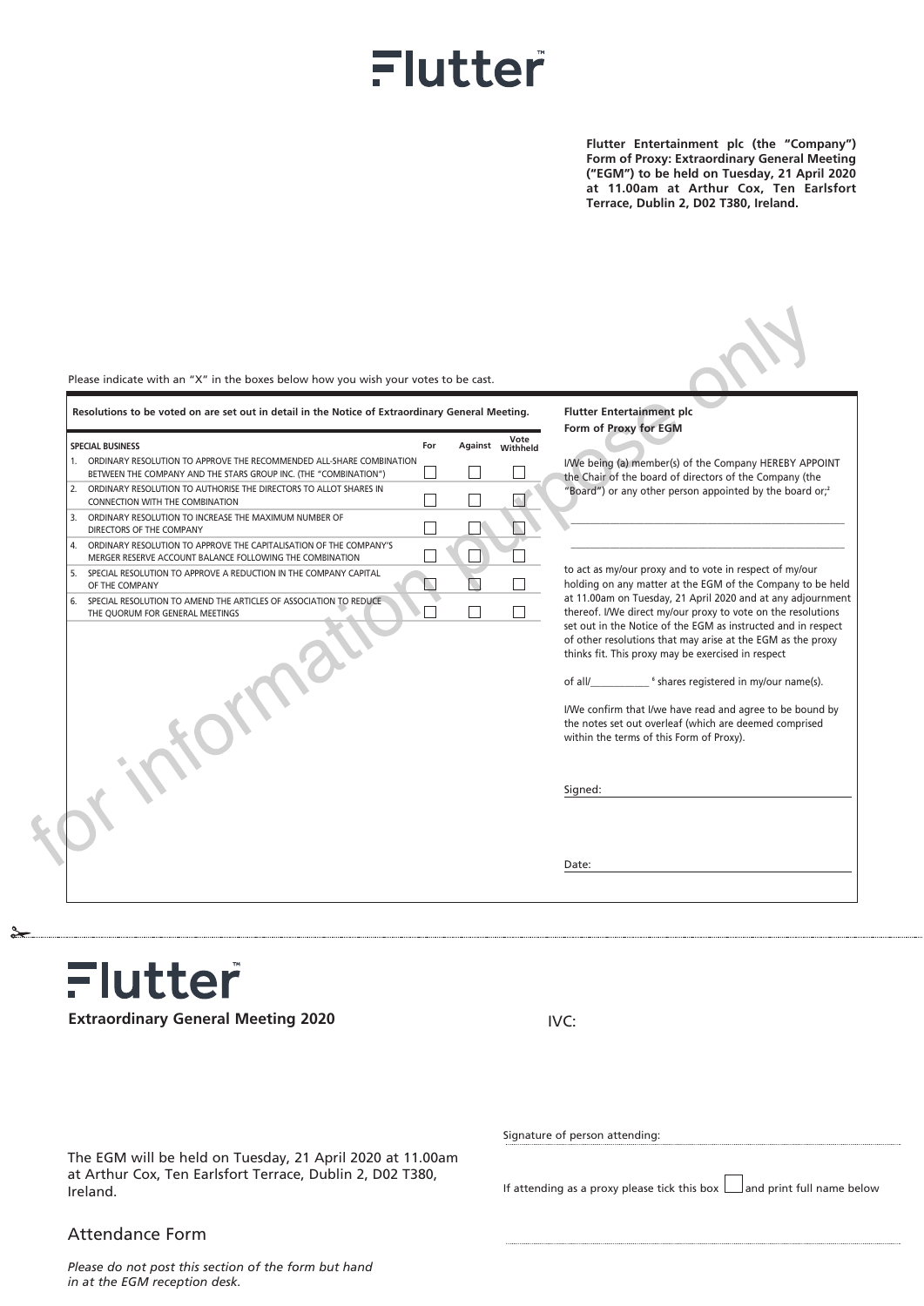## Flutter

**Flutter Entertainment plc (the "Company") Form of Proxy: Extraordinary General Meeting ("EGM") to be held on Tuesday, 21 April 2020 at 11.00am at Arthur Cox, Ten Earlsfort Terrace, Dublin 2, D02 T380, Ireland.**

|    | Resolutions to be voted on are set out in detail in the Notice of Extraordinary General Meeting.                                            |     |  |                          | <b>Flutter Entertainment plc</b>                                                                                                                                                                                                                                                                                  |  |
|----|---------------------------------------------------------------------------------------------------------------------------------------------|-----|--|--------------------------|-------------------------------------------------------------------------------------------------------------------------------------------------------------------------------------------------------------------------------------------------------------------------------------------------------------------|--|
|    | <b>SPECIAL BUSINESS</b>                                                                                                                     | For |  | Vote<br>Against Withheld | Form of Proxy for EGM                                                                                                                                                                                                                                                                                             |  |
|    | 1. ORDINARY RESOLUTION TO APPROVE THE RECOMMENDED ALL-SHARE COMBINATION<br>BETWEEN THE COMPANY AND THE STARS GROUP INC. (THE "COMBINATION") |     |  |                          | I/We being (a) member(s) of the Company HEREBY APPOINT<br>the Chair of the board of directors of the Company (the                                                                                                                                                                                                 |  |
|    | 2. ORDINARY RESOLUTION TO AUTHORISE THE DIRECTORS TO ALLOT SHARES IN<br>CONNECTION WITH THE COMBINATION                                     |     |  |                          | "Board") or any other person appointed by the board or. <sup>2</sup>                                                                                                                                                                                                                                              |  |
|    | 3. ORDINARY RESOLUTION TO INCREASE THE MAXIMUM NUMBER OF<br>DIRECTORS OF THE COMPANY                                                        |     |  |                          |                                                                                                                                                                                                                                                                                                                   |  |
| 4. | ORDINARY RESOLUTION TO APPROVE THE CAPITALISATION OF THE COMPANY'S<br>MERGER RESERVE ACCOUNT BALANCE FOLLOWING THE COMBINATION              |     |  |                          |                                                                                                                                                                                                                                                                                                                   |  |
|    | 5. SPECIAL RESOLUTION TO APPROVE A REDUCTION IN THE COMPANY CAPITAL<br>OF THE COMPANY                                                       |     |  |                          | to act as my/our proxy and to vote in respect of my/our<br>holding on any matter at the EGM of the Company to be held                                                                                                                                                                                             |  |
|    | 6. SPECIAL RESOLUTION TO AMEND THE ARTICLES OF ASSOCIATION TO REDUCE<br>THE QUORUM FOR GENERAL MEETINGS                                     |     |  |                          | at 11.00am on Tuesday, 21 April 2020 and at any adjournment<br>thereof. I/We direct my/our proxy to vote on the resolutions<br>set out in the Notice of the EGM as instructed and in respect<br>of other resolutions that may arise at the EGM as the proxy<br>thinks fit. This proxy may be exercised in respect |  |
|    |                                                                                                                                             |     |  |                          | I/We confirm that I/we have read and agree to be bound by<br>the notes set out overleaf (which are deemed comprised<br>within the terms of this Form of Proxy).                                                                                                                                                   |  |
|    |                                                                                                                                             |     |  |                          | Signed:                                                                                                                                                                                                                                                                                                           |  |
|    |                                                                                                                                             |     |  |                          | Date:                                                                                                                                                                                                                                                                                                             |  |

Flutter **Extraordinary General Meeting 2020**

IVC:

The EGM will be held on Tuesday, 21 April 2020 at 11.00am at Arthur Cox, Ten Earlsfort Terrace, Dublin 2, D02 T380, Ireland.

## Attendance Form

*Please do not post this section of the form but hand in at the EGM reception desk.*

Signature of person attending:

If attending as a proxy please tick this box  $\Box$  and print full name below